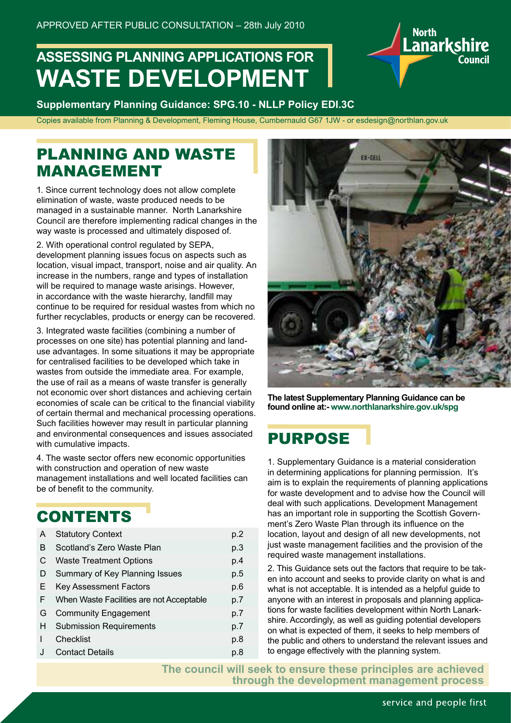# **ASSESSING PLANNING APPLICATIONS FOR WASTE DEVELOPMENT**

**Supplementary Planning Guidance: SPG.10 - NLLP Policy EDI.3C**

Copies available from Planning & Development, Fleming House, Cumbernauld G67 1JW - or esdesign@northlan.gov.uk

### PLANNING AND WASTE MANAGEMENT

1. Since current technology does not allow complete elimination of waste, waste produced needs to be managed in a sustainable manner. North Lanarkshire Council are therefore implementing radical changes in the way waste is processed and ultimately disposed of.

2. With operational control regulated by SEPA, development planning issues focus on aspects such as location, visual impact, transport, noise and air quality. An increase in the numbers, range and types of installation will be required to manage waste arisings. However, in accordance with the waste hierarchy, landfill may continue to be required for residual wastes from which no further recyclables, products or energy can be recovered.

3. Integrated waste facilities (combining a number of processes on one site) has potential planning and landuse advantages. In some situations it may be appropriate for centralised facilities to be developed which take in wastes from outside the immediate area. For example, the use of rail as a means of waste transfer is generally not economic over short distances and achieving certain economies of scale can be critical to the financial viability of certain thermal and mechanical processing operations. Such facilities however may result in particular planning and environmental consequences and issues associated with cumulative impacts.

4. The waste sector offers new economic opportunities with construction and operation of new waste management installations and well located facilities can be of benefit to the community.

### **CONTENTS**

| A | <b>Statutory Context</b>                 | p.2 |
|---|------------------------------------------|-----|
| B | Scotland's Zero Waste Plan               | p.3 |
| C | <b>Waste Treatment Options</b>           | p.4 |
| D | Summary of Key Planning Issues           | p.5 |
| Е | <b>Key Assessment Factors</b>            | p.6 |
| F | When Waste Facilities are not Acceptable | p.7 |
| G | <b>Community Engagement</b>              | p.7 |
| H | <b>Submission Requirements</b>           | p.7 |
|   | Checklist                                | p.8 |
|   | <b>Contact Details</b>                   | p.8 |
|   |                                          |     |



er-cent

North<br>Lanarkshire

**The latest Supplementary Planning Guidance can be found online at:- www.northlanarkshire.gov.uk/spg**

### PURPOSE

1. Supplementary Guidance is a material consideration in determining applications for planning permission. It's aim is to explain the requirements of planning applications for waste development and to advise how the Council will deal with such applications. Development Management has an important role in supporting the Scottish Government's Zero Waste Plan through its influence on the location, layout and design of all new developments, not just waste management facilities and the provision of the required waste management installations.

2. This Guidance sets out the factors that require to be taken into account and seeks to provide clarity on what is and what is not acceptable. It is intended as a helpful guide to anyone with an interest in proposals and planning applications for waste facilities development within North Lanarkshire. Accordingly, as well as guiding potential developers on what is expected of them, it seeks to help members of the public and others to understand the relevant issues and to engage effectively with the planning system.

**The council will seek to ensure these principles are achieved through the development management process**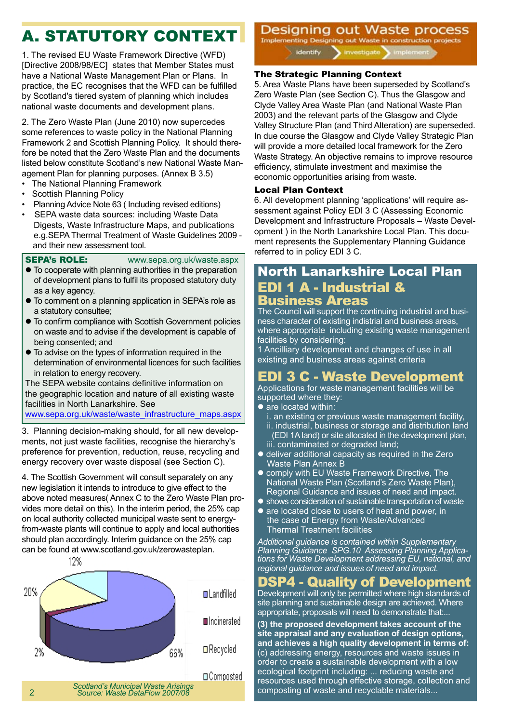# A. STATUTORY CONTEXT

1. The revised EU Waste Framework Directive (WFD) [Directive 2008/98/EC] states that Member States must have a National Waste Management Plan or Plans. In practice, the EC recognises that the WFD can be fulfilled by Scotland's tiered system of planning which includes national waste documents and development plans.

2. The Zero Waste Plan (June 2010) now supercedes some references to waste policy in the National Planning Framework 2 and Scottish Planning Policy. It should therefore be noted that the Zero Waste Plan and the documents listed below constitute Scotland's new National Waste Management Plan for planning purposes. (Annex B 3.5)

- The National Planning Framework
- Scottish Planning Policy
- Planning Advice Note 63 ( Including revised editions)
- SEPA waste data sources: including Waste Data Digests, Waste Infrastructure Maps, and publications e.g.SEPA Thermal Treatment of Waste Guidelines 2009 and their new assessment tool.

SEPA's ROLE: www.sepa.org.uk/waste.aspx

- $\bullet$  To cooperate with planning authorities in the preparation of development plans to fulfil its proposed statutory duty as a key agency.
- To comment on a planning application in SEPA's role as a statutory consultee;
- $\bullet$  To confirm compliance with Scottish Government policies on waste and to advise if the development is capable of being consented; and
- $\bullet$  To advise on the types of information required in the determination of environmental licences for such facilities in relation to energy recovery.

The SEPA website contains definitive information on the geographic location and nature of all existing waste facilities in North Lanarkshire. See www.sepa.org.uk/waste/waste\_infrastructure\_maps.aspx

3. Planning decision-making should, for all new developments, not just waste facilities, recognise the hierarchy's preference for prevention, reduction, reuse, recycling and energy recovery over waste disposal (see Section C).

4. The Scottish Government will consult separately on any new legislation it intends to introduce to give effect to the above noted measures( Annex C to the Zero Waste Plan provides more detail on this). In the interim period, the 25% cap on local authority collected municipal waste sent to energyfrom-waste plants will continue to apply and local authorities should plan accordingly. Interim guidance on the 25% cap can be found at www.scotland.gov.uk/zerowasteplan.



Designing out Waste process Implementing Designing out Waste in construction projects

identify investigate

#### The Strategic Planning Context

5. Area Waste Plans have been superseded by Scotland's Zero Waste Plan (see Section C). Thus the Glasgow and Clyde Valley Area Waste Plan (and National Waste Plan 2003) and the relevant parts of the Glasgow and Clyde Valley Structure Plan (and Third Alteration) are superseded. In due course the Glasgow and Clyde Valley Strategic Plan will provide a more detailed local framework for the Zero Waste Strategy. An objective remains to improve resource efficiency, stimulate investment and maximise the economic opportunities arising from waste.

#### Local Plan Context

6. All development planning 'applications' will require assessment against Policy EDI 3 C (Assessing Economic Development and Infrastructure Proposals – Waste Development ) in the North Lanarkshire Local Plan. This document represents the Supplementary Planning Guidance referred to in policy EDI 3 C.

#### North Lanarkshire Local Plan EDI 1 A - Industrial & Business Areas

The Council will support the continuing industrial and business character of existing indistrial and business areas, where appropriate including existing waste management facilities by considering:

1 Ancilliary development and changes of use in all existing and business areas against criteria

#### EDI 3 C - Waste Development

Applications for waste management facilities will be supported where they:

- are located within:
- i. an existing or previous waste management facility, ii. industrial, business or storage and distribution land (EDI 1A land) or site allocated in the development plan, iii. contaminated or degraded land;
- $\bullet$  deliver additional capacity as required in the Zero Waste Plan Annex B
- **.** comply with EU Waste Framework Directive, The National Waste Plan (Scotland's Zero Waste Plan), Regional Guidance and issues of need and impact.
- $\bullet$  shows consideration of sustainable transportation of waste
- are located close to users of heat and power, in the case of Energy from Waste/Advanced Thermal Treatment facilities

*Additional guidance is contained within Supplementary Planning Guidance SPG.10 Assessing Planning Applications for Waste Development addressing EU, national, and regional guidance and issues of need and impact.*

#### DSP4 - Quality of Development

Development will only be permitted where high standards of site planning and sustainable design are achieved. Where appropriate, proposals will need to demonstrate that:...

**(3) the proposed development takes account of the site appraisal and any evaluation of design options, and achieves a high quality development in terms of:**  (c) addressing energy, resources and waste issues in order to create a sustainable development with a low ecological footprint including: ... reducing waste and resources used through effective storage, collection and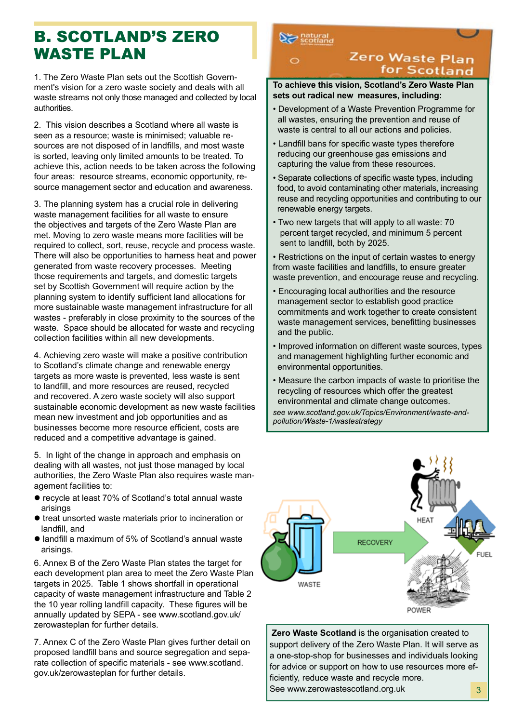### B. SCOTLAND'S ZERO WASTE PLAN

1. The Zero Waste Plan sets out the Scottish Government's vision for a zero waste society and deals with all waste streams not only those managed and collected by local authorities.

2. This vision describes a Scotland where all waste is seen as a resource; waste is minimised; valuable resources are not disposed of in landfills, and most waste is sorted, leaving only limited amounts to be treated. To achieve this, action needs to be taken across the following four areas: resource streams, economic opportunity, resource management sector and education and awareness.

3. The planning system has a crucial role in delivering waste management facilities for all waste to ensure the objectives and targets of the Zero Waste Plan are met. Moving to zero waste means more facilities will be required to collect, sort, reuse, recycle and process waste. There will also be opportunities to harness heat and power generated from waste recovery processes. Meeting those requirements and targets, and domestic targets set by Scottish Government will require action by the planning system to identify sufficient land allocations for more sustainable waste management infrastructure for all wastes - preferably in close proximity to the sources of the waste. Space should be allocated for waste and recycling collection facilities within all new developments.

4. Achieving zero waste will make a positive contribution to Scotland's climate change and renewable energy targets as more waste is prevented, less waste is sent to landfill, and more resources are reused, recycled and recovered. A zero waste society will also support sustainable economic development as new waste facilities mean new investment and job opportunities and as businesses become more resource efficient, costs are reduced and a competitive advantage is gained.

5. In light of the change in approach and emphasis on dealing with all wastes, not just those managed by local authorities, the Zero Waste Plan also requires waste management facilities to:

- l recycle at least 70% of Scotland's total annual waste arisings
- $\bullet$  treat unsorted waste materials prior to incineration or landfill, and
- landfill a maximum of 5% of Scotland's annual waste arisings.

6. Annex B of the Zero Waste Plan states the target for each development plan area to meet the Zero Waste Plan targets in 2025. Table 1 shows shortfall in operational capacity of waste management infrastructure and Table 2 the 10 year rolling landfill capacity. These figures will be annually updated by SEPA - see www.scotland.gov.uk/ zerowasteplan for further details.

7. Annex C of the Zero Waste Plan gives further detail on proposed landfill bans and source segregation and separate collection of specific materials - see www.scotland. gov.uk/zerowasteplan for further details.

#### $\sum$  natural

#### Zero Waste Plan for Scotland

#### **To achieve this vision, Scotland's Zero Waste Plan sets out radical new measures, including:**

- Development of a Waste Prevention Programme for all wastes, ensuring the prevention and reuse of waste is central to all our actions and policies.
- Landfill bans for specific waste types therefore reducing our greenhouse gas emissions and capturing the value from these resources.
- Separate collections of specific waste types, including food, to avoid contaminating other materials, increasing reuse and recycling opportunities and contributing to our renewable energy targets.
- Two new targets that will apply to all waste: 70 percent target recycled, and minimum 5 percent sent to landfill, both by 2025.

• Restrictions on the input of certain wastes to energy from waste facilities and landfills, to ensure greater waste prevention, and encourage reuse and recycling.

- Encouraging local authorities and the resource management sector to establish good practice commitments and work together to create consistent waste management services, benefitting businesses and the public.
- Improved information on different waste sources, types and management highlighting further economic and environmental opportunities.
- Measure the carbon impacts of waste to prioritise the recycling of resources which offer the greatest environmental and climate change outcomes.

*see www.scotland.gov.uk/Topics/Environment/waste-andpollution/Waste-1/wastestrategy*



**Zero Waste Scotland** is the organisation created to support delivery of the Zero Waste Plan. It will serve as a one-stop-shop for businesses and individuals looking for advice or support on how to use resources more efficiently, reduce waste and recycle more. See www.zerowastescotland.org.uk 3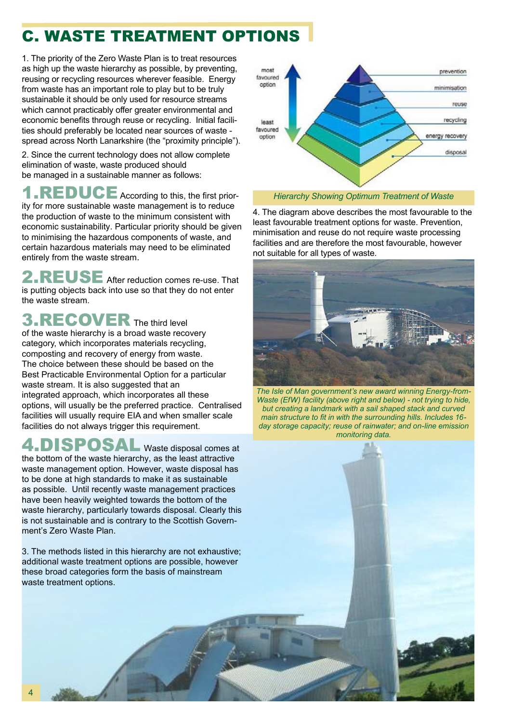# C. WASTE TREATMENT OPTIONS

1. The priority of the Zero Waste Plan is to treat resources as high up the waste hierarchy as possible, by preventing, reusing or recycling resources wherever feasible. Energy from waste has an important role to play but to be truly sustainable it should be only used for resource streams which cannot practicably offer greater environmental and economic benefits through reuse or recycling. Initial facilities should preferably be located near sources of waste spread across North Lanarkshire (the "proximity principle").

2. Since the current technology does not allow complete elimination of waste, waste produced should be managed in a sustainable manner as follows:

1.REDUCE According to this, the first priority for more sustainable waste management is to reduce the production of waste to the minimum consistent with economic sustainability. Particular priority should be given to minimising the hazardous components of waste, and certain hazardous materials may need to be eliminated entirely from the waste stream.

 $REUSE$  After reduction comes re-use. That is putting objects back into use so that they do not enter the waste stream.

**3.RECOVER** The third level of the waste hierarchy is a broad waste recovery category, which incorporates materials recycling, composting and recovery of energy from waste. The choice between these should be based on the Best Practicable Environmental Option for a particular waste stream. It is also suggested that an integrated approach, which incorporates all these options, will usually be the preferred practice. Centralised facilities will usually require EIA and when smaller scale facilities do not always trigger this requirement.

### 4.DISPOSAL Waste disposal comes at

the bottom of the waste hierarchy, as the least attractive waste management option. However, waste disposal has to be done at high standards to make it as sustainable as possible. Until recently waste management practices have been heavily weighted towards the bottom of the waste hierarchy, particularly towards disposal. Clearly this is not sustainable and is contrary to the Scottish Government's Zero Waste Plan.

3. The methods listed in this hierarchy are not exhaustive; additional waste treatment options are possible, however these broad categories form the basis of mainstream waste treatment options.



*Hierarchy Showing Optimum Treatment of Waste*

4. The diagram above describes the most favourable to the least favourable treatment options for waste. Prevention, minimisation and reuse do not require waste processing facilities and are therefore the most favourable, however not suitable for all types of waste.



*The Isle of Man government's new award winning Energy-from-Waste (EfW) facility (above right and below) - not trying to hide, but creating a landmark with a sail shaped stack and curved main structure to fit in with the surrounding hills. Includes 16 day storage capacity; reuse of rainwater; and on-line emission monitoring data.*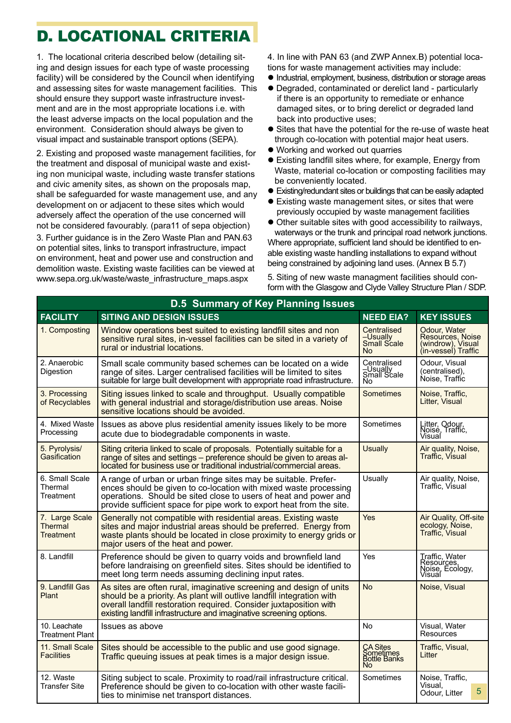# D. LOCATIONAL CRITERIA

1. The locational criteria described below (detailing siting and design issues for each type of waste processing facility) will be considered by the Council when identifying and assessing sites for waste management facilities. This should ensure they support waste infrastructure investment and are in the most appropriate locations i.e. with the least adverse impacts on the local population and the environment. Consideration should always be given to visual impact and sustainable transport options (SEPA).

2. Existing and proposed waste management facilities, for the treatment and disposal of municipal waste and existing non municipal waste, including waste transfer stations and civic amenity sites, as shown on the proposals map, shall be safeguarded for waste management use, and any development on or adjacent to these sites which would adversely affect the operation of the use concerned will not be considered favourably. (para11 of sepa objection)

3. Further guidance is in the Zero Waste Plan and PAN.63 on potential sites, links to transport infrastructure, impact on environment, heat and power use and construction and demolition waste. Existing waste facilities can be viewed at www.sepa.org.uk/waste/waste\_infrastructure\_maps.aspx

4. In line with PAN 63 (and ZWP Annex.B) potential locations for waste management activities may include:

- $\bullet$  Industrial, employment, business, distribution or storage areas
- l Degraded, contaminated or derelict land particularly if there is an opportunity to remediate or enhance damaged sites, or to bring derelict or degraded land back into productive uses;
- Sites that have the potential for the re-use of waste heat through co-location with potential major heat users.
- $\bullet$  Working and worked out quarries
- Existing landfill sites where, for example, Energy from Waste, material co-location or composting facilities may be conveniently located.
- Existing/redundant sites or buildings that can be easily adapted
- Existing waste management sites, or sites that were previously occupied by waste management facilities
- Other suitable sites with good accessibility to railways, waterways or the trunk and principal road network junctions. Where appropriate, sufficient land should be identified to en-

able existing waste handling installations to expand without being constrained by adjoining land uses. (Annex B 5.7)

5. Siting of new waste managment facilities should conform with the Glasgow and Clyde Valley Structure Plan / SDP.

| <b>D.5 Summary of Key Planning Issues</b>     |                                                                                                                                                                                                                                                                                           |                                                            |                                                                              |  |  |
|-----------------------------------------------|-------------------------------------------------------------------------------------------------------------------------------------------------------------------------------------------------------------------------------------------------------------------------------------------|------------------------------------------------------------|------------------------------------------------------------------------------|--|--|
| <b>FACILITY</b>                               | <b>SITING AND DESIGN ISSUES</b>                                                                                                                                                                                                                                                           | <b>NEED EIA?</b>                                           | <b>KEY ISSUES</b>                                                            |  |  |
| 1. Composting                                 | Window operations best suited to existing landfill sites and non<br>sensitive rural sites, in-vessel facilities can be sited in a variety of<br>rural or industrial locations.                                                                                                            | Centralised<br>-Usually<br><b>Small Scale</b><br><b>No</b> | Odour, Water<br>Resources, Noise<br>(windrow), Visual<br>(in-vessel) Traffic |  |  |
| 2. Anaerobic<br>Digestion                     | Small scale community based schemes can be located on a wide<br>range of sites. Larger centralised facilities will be limited to sites<br>suitable for large built development with appropriate road infrastructure.                                                                      | Centralised<br>-Usually<br>Small Scale<br>No               | Odour, Visual<br>(centralised).<br>Noise. Traffic                            |  |  |
| 3. Processing<br>of Recyclables               | Siting issues linked to scale and throughput. Usually compatible<br>with general industrial and storage/distribution use areas. Noise<br>sensitive locations should be avoided.                                                                                                           | <b>Sometimes</b>                                           | Noise, Traffic,<br>Litter, Visual                                            |  |  |
| 4. Mixed Waste<br>Processing                  | Issues as above plus residential amenity issues likely to be more<br>acute due to biodegradable components in waste.                                                                                                                                                                      | Sometimes                                                  | Litter, Odour,<br>Noisé, Traffic,<br>Visual                                  |  |  |
| 5. Pyrolysis/<br>Gasification                 | Siting criteria linked to scale of proposals. Potentially suitable for a<br>range of sites and settings – preference should be given to areas al-<br>located for business use or traditional industrial/commercial areas.                                                                 | <b>Usually</b>                                             | Air quality, Noise,<br>Traffic. Visual                                       |  |  |
| 6. Small Scale<br>Thermal<br>Treatment        | A range of urban or urban fringe sites may be suitable. Prefer-<br>ences should be given to co-location with mixed waste processing<br>operations. Should be sited close to users of heat and power and<br>provide sufficient space for pipe work to export heat from the site.           | Usually                                                    | Air quality, Noise,<br>Traffic, Visual                                       |  |  |
| 7. Large Scale<br>Thermal<br><b>Treatment</b> | Generally not compatible with residential areas. Existing waste<br>sites and major industrial areas should be preferred. Energy from<br>waste plants should be located in close proximity to energy grids or<br>major users of the heat and power.                                        | Yes                                                        | Air Quality, Off-site<br>ecology, Noise,<br>Traffic, Visual                  |  |  |
| 8. Landfill                                   | Preference should be given to quarry voids and brownfield land<br>before landraising on greenfield sites. Sites should be identified to<br>meet long term needs assuming declining input rates.                                                                                           | Yes                                                        | Traffic. Water<br>Resources,<br>Noise, Ecology,<br>Visual                    |  |  |
| 9. Landfill Gas<br>Plant                      | As sites are often rural, imaginative screening and design of units<br>should be a priority. As plant will outlive landfill integration with<br>overall landfill restoration required. Consider juxtaposition with<br>existing landfill infrastructure and imaginative screening options. | <b>No</b>                                                  | Noise, Visual                                                                |  |  |
| 10. Leachate<br><b>Treatment Plant</b>        | Issues as above                                                                                                                                                                                                                                                                           | No                                                         | Visual, Water<br>Resources                                                   |  |  |
| 11. Small Scale<br><b>Facilities</b>          | Sites should be accessible to the public and use good signage.<br>Traffic queuing issues at peak times is a major design issue.                                                                                                                                                           | <b>CA Sites</b><br>Sometimes<br>Bottle Banks<br>No         | Traffic, Visual,<br>Litter                                                   |  |  |
| 12. Waste<br><b>Transfer Site</b>             | Siting subject to scale. Proximity to road/rail infrastructure critical.<br>Preference should be given to co-location with other waste facili-<br>ties to minimise net transport distances.                                                                                               | Sometimes                                                  | Noise, Traffic,<br>Visual,<br>5<br>Odour, Litter                             |  |  |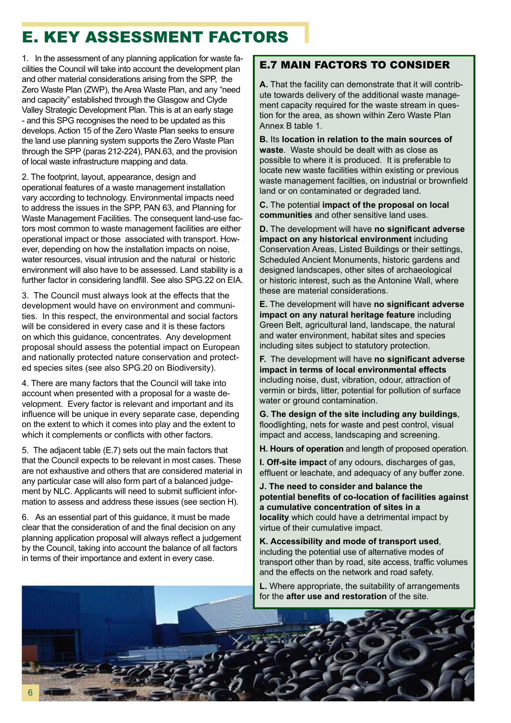# E. KEY ASSESSMENT FACTORS

1. In the assessment of any planning application for waste facilities the Council will take into account the development plan and other material considerations arising from the SPP, the Zero Waste Plan (ZWP), the Area Waste Plan, and any "need and capacity" established through the Glasgow and Clyde Valley Strategic Development Plan. This is at an early stage - and this SPG recognises the need to be updated as this develops. Action 15 of the Zero Waste Plan seeks to ensure the land use planning system supports the Zero Waste Plan through the SPP (paras 212-224), PAN.63, and the provision of local waste infrastructure mapping and data.

2. The footprint, layout, appearance, design and operational features of a waste management installation vary according to technology. Environmental impacts need to address the issues in the SPP, PAN 63, and Planning for Waste Management Facilities. The consequent land-use factors most common to waste management facilities are either operational impact or those associated with transport. However, depending on how the installation impacts on noise, water resources, visual intrusion and the natural or historic environment will also have to be assessed. Land stability is a further factor in considering landfill. See also SPG.22 on EIA.

3. The Council must always look at the effects that the development would have on environment and communities. In this respect, the environmental and social factors will be considered in every case and it is these factors on which this guidance, concentrates. Any development proposal should assess the potential impact on European and nationally protected nature conservation and protected species sites (see also SPG.20 on Biodiversity).

4. There are many factors that the Council will take into account when presented with a proposal for a waste development. Every factor is relevant and important and its influence will be unique in every separate case, depending on the extent to which it comes into play and the extent to which it complements or conflicts with other factors.

5. The adjacent table (E.7) sets out the main factors that that the Council expects to be relevant in most cases. These are not exhaustive and others that are considered material in any particular case will also form part of a balanced judgement by NLC. Applicants will need to submit sufficient information to assess and address these issues (see section H).

6. As an essential part of this guidance, it must be made clear that the consideration of and the final decision on any planning application proposal will always reflect a judgement by the Council, taking into account the balance of all factors in terms of their importance and extent in every case.

#### E.7 MAIN FACTORS TO CONSIDER

**A.** That the facility can demonstrate that it will contribute towards delivery of the additional waste management capacity required for the waste stream in question for the area, as shown within Zero Waste Plan Annex B table 1.

**B.** Its **location in relation to the main sources of waste**. Waste should be dealt with as close as possible to where it is produced. It is preferable to locate new waste facilities within existing or previous waste management facilties, on industrial or brownfield land or on contaminated or degraded land.

**C.** The potential **impact of the proposal on local communities** and other sensitive land uses.

**D.** The development will have **no significant adverse impact on any historical environment** including Conservation Areas, Listed Buildings or their settings, Scheduled Ancient Monuments, historic gardens and designed landscapes, other sites of archaeological or historic interest, such as the Antonine Wall, where these are material considerations.

**E.** The development will have **no significant adverse impact on any natural heritage feature** including Green Belt, agricultural land, landscape, the natural and water environment, habitat sites and species including sites subject to statutory protection.

**F.** The development will have **no significant adverse impact in terms of local environmental effects** including noise, dust, vibration, odour, attraction of vermin or birds, litter, potential for pollution of surface water or ground contamination.

**G. The design of the site including any buildings**, floodlighting, nets for waste and pest control, visual impact and access, landscaping and screening.

**H. Hours of operation** and length of proposed operation.

**I. Off-site impact** of any odours, discharges of gas, effluent or leachate, and adequacy of any buffer zone.

**J. The need to consider and balance the potential benefits of co-location of facilities against a cumulative concentration of sites in a locality** which could have a detrimental impact by virtue of their cumulative impact.

**K. Accessibility and mode of transport used**, including the potential use of alternative modes of transport other than by road, site access, traffic volumes and the effects on the network and road safety.

**L.** Where appropriate, the suitability of arrangements for the **after use and restoration** of the site.

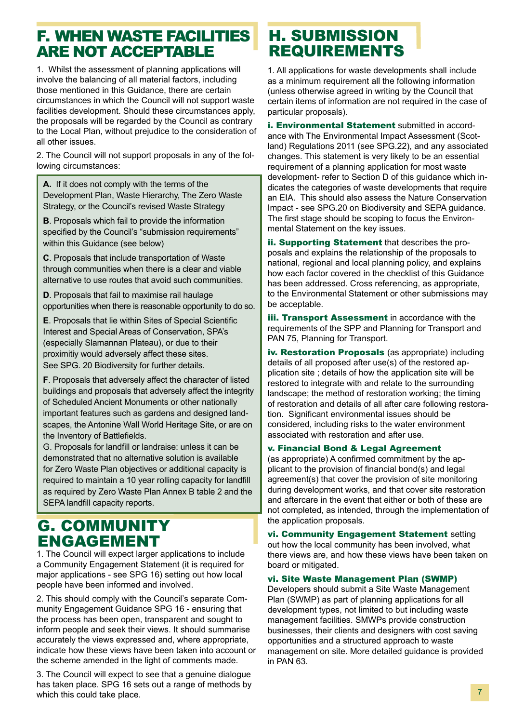### F. WHEN WASTE FACILITIES ARE NOT ACCEPTABLE

1. Whilst the assessment of planning applications will involve the balancing of all material factors, including those mentioned in this Guidance, there are certain circumstances in which the Council will not support waste facilities development. Should these circumstances apply, the proposals will be regarded by the Council as contrary to the Local Plan, without prejudice to the consideration of all other issues.

2. The Council will not support proposals in any of the following circumstances:

**A.** If it does not comply with the terms of the Development Plan, Waste Hierarchy, The Zero Waste Strategy, or the Council's revised Waste Strategy

**B**. Proposals which fail to provide the information specified by the Council's "submission requirements" within this Guidance (see below)

**C**. Proposals that include transportation of Waste through communities when there is a clear and viable alternative to use routes that avoid such communities.

**D**. Proposals that fail to maximise rail haulage opportunities when there is reasonable opportunity to do so.

**E**. Proposals that lie within Sites of Special Scientific Interest and Special Areas of Conservation, SPA's (especially Slamannan Plateau), or due to their proximitiy would adversely affect these sites. See SPG. 20 Biodiversity for further details.

**F**. Proposals that adversely affect the character of listed buildings and proposals that adversely affect the integrity of Scheduled Ancient Monuments or other nationally important features such as gardens and designed landscapes, the Antonine Wall World Heritage Site, or are on the Inventory of Battlefields.

G. Proposals for landfill or landraise: unless it can be demonstrated that no alternative solution is available for Zero Waste Plan objectives or additional capacity is required to maintain a 10 year rolling capacity for landfill as required by Zero Waste Plan Annex B table 2 and the SEPA landfill capacity reports.

#### G. COMMUNITY ENGAGEMENT

1. The Council will expect larger applications to include a Community Engagement Statement (it is required for major applications - see SPG 16) setting out how local people have been informed and involved.

2. This should comply with the Council's separate Community Engagement Guidance SPG 16 - ensuring that the process has been open, transparent and sought to inform people and seek their views. It should summarise accurately the views expressed and, where appropriate, indicate how these views have been taken into account or the scheme amended in the light of comments made.

3. The Council will expect to see that a genuine dialogue has taken place. SPG 16 sets out a range of methods by which this could take place.

# H. SUBMISSION REQUIREMENTS

1. All applications for waste developments shall include as a minimum requirement all the following information (unless otherwise agreed in writing by the Council that certain items of information are not required in the case of particular proposals).

i. Environmental Statement submitted in accordance with The Environmental Impact Assessment (Scotland) Regulations 2011 (see SPG.22), and any associated changes. This statement is very likely to be an essential requirement of a planning application for most waste development- refer to Section D of this guidance which indicates the categories of waste developments that require an EIA. This should also assess the Nature Conservation Impact - see SPG.20 on Biodiversity and SEPA guidance. The first stage should be scoping to focus the Environmental Statement on the key issues.

ii. Supporting Statement that describes the proposals and explains the relationship of the proposals to national, regional and local planning policy, and explains how each factor covered in the checklist of this Guidance has been addressed. Cross referencing, as appropriate, to the Environmental Statement or other submissions may be acceptable.

**iii. Transport Assessment** in accordance with the requirements of the SPP and Planning for Transport and PAN 75, Planning for Transport.

iv. Restoration Proposals (as appropriate) including details of all proposed after use(s) of the restored application site ; details of how the application site will be restored to integrate with and relate to the surrounding landscape; the method of restoration working; the timing of restoration and details of all after care following restoration. Significant environmental issues should be considered, including risks to the water environment associated with restoration and after use.

#### v. Financial Bond & Legal Agreement

(as appropriate) A confirmed commitment by the applicant to the provision of financial bond(s) and legal agreement(s) that cover the provision of site monitoring during development works, and that cover site restoration and aftercare in the event that either or both of these are not completed, as intended, through the implementation of the application proposals.

vi. Community Engagement Statement setting out how the local community has been involved, what there views are, and how these views have been taken on board or mitigated.

#### vi. Site Waste Management Plan (SWMP)

Developers should submit a Site Waste Management Plan (SWMP) as part of planning applications for all development types, not limited to but including waste management facilities. SMWPs provide construction businesses, their clients and designers with cost saving opportunities and a structured approach to waste management on site. More detailed guidance is provided in PAN 63.